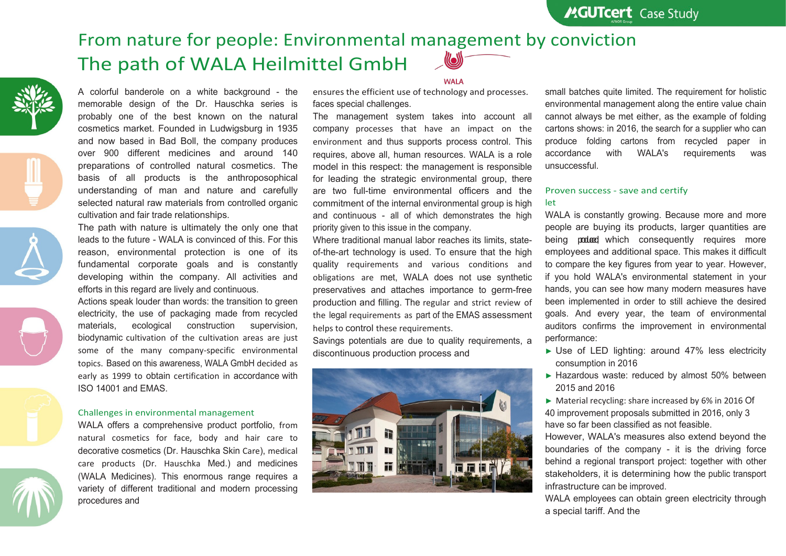# From nature for people: Environmental management by conviction The path of WALA Heilmittel GmbH













A colorful banderole on a white background - the memorable design of the Dr. Hauschka series is probably one of the best known on the natural cosmetics market. Founded in Ludwigsburg in 1935 and now based in Bad Boll, the company produces over 900 different medicines and around 140 preparations of controlled natural cosmetics. The basis of all products is the anthroposophical understanding of man and nature and carefully selected natural raw materials from controlled organic cultivation and fair trade relationships.

The path with nature is ultimately the only one that leads to the future - WALA is convinced of this. For this reason, environmental protection is one of its fundamental corporate goals and is constantly developing within the company. All activities and efforts in this regard are lively and continuous.

Actions speak louder than words: the transition to green electricity, the use of packaging made from recycled materials, ecological construction supervision, biodynamic cultivation of the cultivation areas are just some of the many company-specific environmental topics. Based on this awareness, WALA GmbH decided as early as 1999 to obtain certification in accordance with ISO 14001 and EMAS.

## Challenges in environmental management

WALA offers a comprehensive product portfolio, from natural cosmetics for face, body and hair care to decorative cosmetics (Dr. Hauschka Skin Care), medical care products (Dr. Hauschka Med.) and medicines (WALA Medicines). This enormous range requires a variety of different traditional and modern processing procedures and

#### **WAI A**

ensures the efficient use of technology and processes. faces special challenges.

The management system takes into account all company processes that have an impact on the environment and thus supports process control. This requires, above all, human resources. WALA is a role model in this respect: the management is responsible for leading the strategic environmental group, there are two full-time environmental officers and the commitment of the internal environmental group is high and continuous - all of which demonstrates the high priority given to this issue in the company.

Where traditional manual labor reaches its limits, stateof-the-art technology is used. To ensure that the high quality requirements and various conditions and obligations are met, WALA does not use synthetic preservatives and attaches importance to germ-free production and filling. The regular and strict review of the legal requirements as part of the EMAS assessment helps to control these requirements.

Savings potentials are due to quality requirements, a discontinuous production process and



small batches quite limited. The requirement for holistic environmental management along the entire value chain cannot always be met either, as the example of folding cartons shows: in 2016, the search for a supplier who can produce folding cartons from recycled paper in accordance with WALA's requirements was unsuccessful.

# Proven success - save and certify let

WALA is constantly growing. Because more and more people are buying its products, larger quantities are being produced which consequently requires more employees and additional space. This makes it difficult to compare the key figures from year to year. However, if you hold WALA's environmental statement in your hands, you can see how many modern measures have been implemented in order to still achieve the desired goals. And every year, the team of environmental auditors confirms the improvement in environmental performance:

- ► Use of LED lighting: around 47% less electricity consumption in 2016
- ► Hazardous waste: reduced by almost 50% between 2015 and 2016
- ► Material recycling: share increased by 6% in 2016 Of 40 improvement proposals submitted in 2016, only 3 have so far been classified as not feasible.

However, WALA's measures also extend beyond the boundaries of the company - it is the driving force behind a regional transport project: together with other stakeholders, it is determining how the public transport infrastructure can be improved.

WALA employees can obtain green electricity through a special tariff. And the